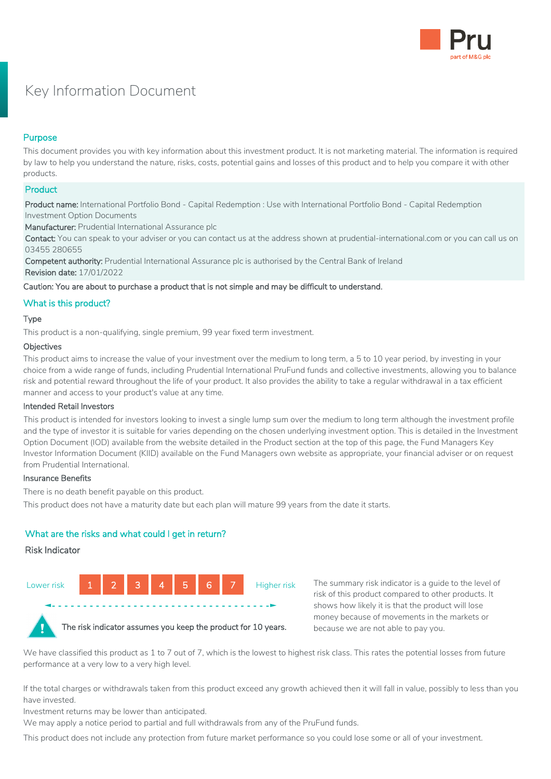

# Key Information Document

# Purpose

This document provides you with key information about this investment product. It is not marketing material. The information is required by law to help you understand the nature, risks, costs, potential gains and losses of this product and to help you compare it with other products.

# **Product**

Product name: International Portfolio Bond - Capital Redemption : Use with International Portfolio Bond - Capital Redemption Investment Option Documents

Manufacturer: Prudential International Assurance plc

Contact: You can speak to your adviser or you can contact us at the address shown at prudential-international.com or you can call us on 03455 280655

Competent authority: Prudential International Assurance plc is authorised by the Central Bank of Ireland Revision date: 17/01/2022

Caution: You are about to purchase a product that is not simple and may be difficult to understand.

# What is this product?

## Type

This product is a non-qualifying, single premium, 99 year fixed term investment.

#### Objectives

This product aims to increase the value of your investment over the medium to long term, a 5 to 10 year period, by investing in your choice from a wide range of funds, including Prudential International PruFund funds and collective investments, allowing you to balance risk and potential reward throughout the life of your product. It also provides the ability to take a regular withdrawal in a tax efficient manner and access to your product's value at any time.

## Intended Retail Investors

This product is intended for investors looking to invest a single lump sum over the medium to long term although the investment profile and the type of investor it is suitable for varies depending on the chosen underlying investment option. This is detailed in the Investment Option Document (IOD) available from the website detailed in the Product section at the top of this page, the Fund Managers Key Investor Information Document (KIID) available on the Fund Managers own website as appropriate, your financial adviser or on request from Prudential International.

## Insurance Benefits

There is no death benefit payable on this product.

This product does not have a maturity date but each plan will mature 99 years from the date it starts.

# What are the risks and what could I get in return?

## Risk Indicator



The risk indicator assumes you keep the product for 10 years.

The summary risk indicator is a guide to the level of risk of this product compared to other products. It shows how likely it is that the product will lose money because of movements in the markets or because we are not able to pay you.

We have classified this product as 1 to 7 out of 7, which is the lowest to highest risk class. This rates the potential losses from future performance at a very low to a very high level.

If the total charges or withdrawals taken from this product exceed any growth achieved then it will fall in value, possibly to less than you have invested.

Investment returns may be lower than anticipated.

We may apply a notice period to partial and full withdrawals from any of the PruFund funds.

This product does not include any protection from future market performance so you could lose some or all of your investment.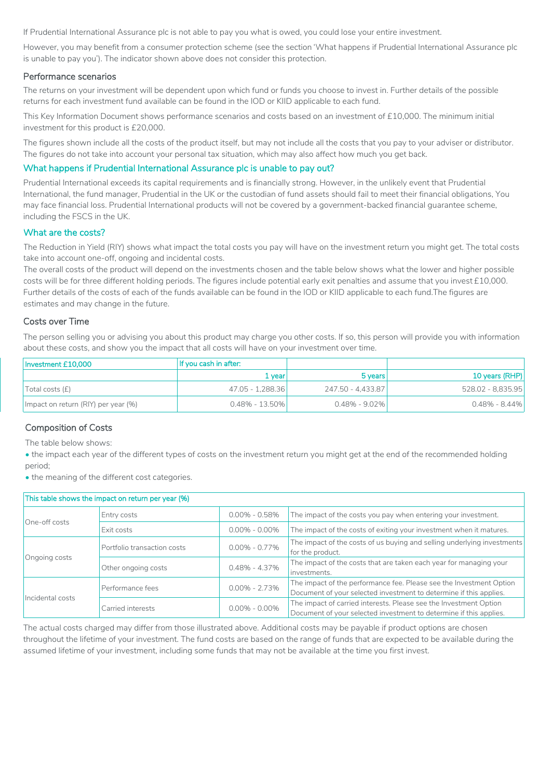If Prudential International Assurance plc is not able to pay you what is owed, you could lose your entire investment.

However, you may benefit from a consumer protection scheme (see the section 'What happens if Prudential International Assurance plc is unable to pay you'). The indicator shown above does not consider this protection.

#### Performance scenarios

The returns on your investment will be dependent upon which fund or funds you choose to invest in. Further details of the possible returns for each investment fund available can be found in the IOD or KIID applicable to each fund.

This Key Information Document shows performance scenarios and costs based on an investment of £10,000. The minimum initial investment for this product is £20,000.

The figures shown include all the costs of the product itself, but may not include all the costs that you pay to your adviser or distributor. The figures do not take into account your personal tax situation, which may also affect how much you get back.

## What happens if Prudential International Assurance plc is unable to pay out?

Prudential International exceeds its capital requirements and is financially strong. However, in the unlikely event that Prudential International, the fund manager, Prudential in the UK or the custodian of fund assets should fail to meet their financial obligations, You may face financial loss. Prudential International products will not be covered by a government-backed financial guarantee scheme, including the FSCS in the UK.

#### What are the costs?

The Reduction in Yield (RIY) shows what impact the total costs you pay will have on the investment return you might get. The total costs take into account one-off, ongoing and incidental costs.

The overall costs of the product will depend on the investments chosen and the table below shows what the lower and higher possible costs will be for three different holding periods. The figures include potential early exit penalties and assume that you invest £10,000. Further details of the costs of each of the funds available can be found in the IOD or KIID applicable to each fund.The figures are estimates and may change in the future.

#### Costs over Time

The person selling you or advising you about this product may charge you other costs. If so, this person will provide you with information about these costs, and show you the impact that all costs will have on your investment over time.

| Investment £10.000                  | If you cash in after: |                   |                   |
|-------------------------------------|-----------------------|-------------------|-------------------|
|                                     | $1$ vear!             | 5 years           | 10 years (RHP)    |
| Total costs (f)                     | 47.05 - 1.288.36      | 247.50 - 4.433.87 | 528.02 - 8.835.95 |
| Impact on return (RIY) per year (%) | $0.48\% - 13.50\%$    | $0.48\%$ - 9.02%  | $0.48\%$ - 8.44%  |

## Composition of Costs

The table below shows:

• the impact each year of the different types of costs on the investment return you might get at the end of the recommended holding period;

• the meaning of the different cost categories.

| This table shows the impact on return per year (%) |                                        |                   |                                                                                                                                           |  |  |
|----------------------------------------------------|----------------------------------------|-------------------|-------------------------------------------------------------------------------------------------------------------------------------------|--|--|
| One-off costs                                      | Entry costs                            | $0.00\% - 0.58\%$ | The impact of the costs you pay when entering your investment.                                                                            |  |  |
|                                                    | Exit costs                             | $0.00\% - 0.00\%$ | The impact of the costs of exiting your investment when it matures.                                                                       |  |  |
| Ongoing costs                                      | Portfolio transaction costs            | $0.00\% - 0.77\%$ | The impact of the costs of us buying and selling underlying investments<br>for the product.                                               |  |  |
|                                                    | Other ongoing costs                    | $0.48\% - 4.37\%$ | The impact of the costs that are taken each year for managing your<br>investments.                                                        |  |  |
| Incidental costs                                   | $0.00\% - 2.73\%$<br>Performance fees  |                   | The impact of the performance fee. Please see the Investment Option<br>Document of your selected investment to determine if this applies. |  |  |
|                                                    | $0.00\% - 0.00\%$<br>Carried interests |                   | The impact of carried interests. Please see the Investment Option<br>Document of your selected investment to determine if this applies.   |  |  |

The actual costs charged may differ from those illustrated above. Additional costs may be payable if product options are chosen throughout the lifetime of your investment. The fund costs are based on the range of funds that are expected to be available during the assumed lifetime of your investment, including some funds that may not be available at the time you first invest.